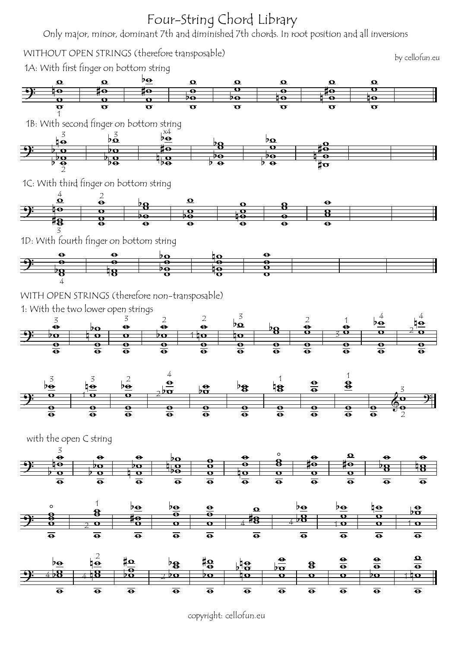

copyright: cellofun.eu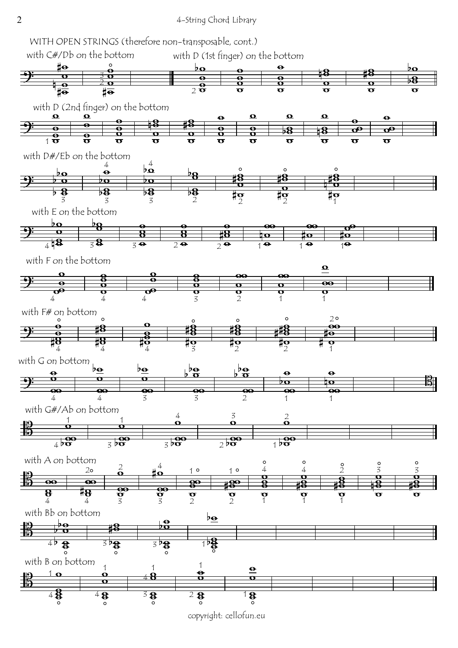

copyright: cellofun.eu